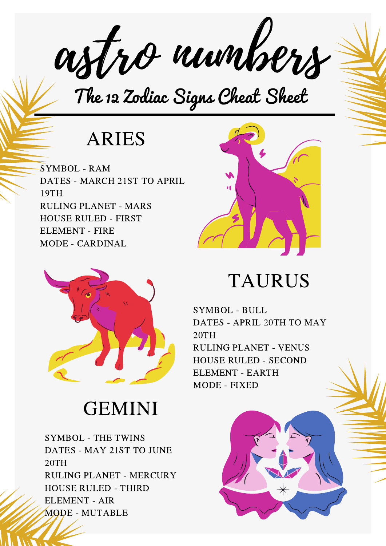astro numbers

The 12 Zodiac Signs Cheat Sheet

### ARIES

SYMBOL - RAM DATES - MARCH 21ST TO APRIL 19TH RULING PLANET - MARS HOUSE RULED - FIRST ELEMENT - FIRE MODE - CARDINAL



## GEMINI

SYMBOL - THE TWINS DATES - MAY 21ST TO JUNE 20TH RULING PLANET - MERCURY HOUSE RULED - THIRD ELEMENT - AIR MODE - MUTABLE



### TAURUS

SYMBOL - BULL DATES - APRIL 20TH TO MAY 20TH RULING PLANET - VENUS HOUSE RULED - SECOND ELEMENT - EARTH MODE - FIXED

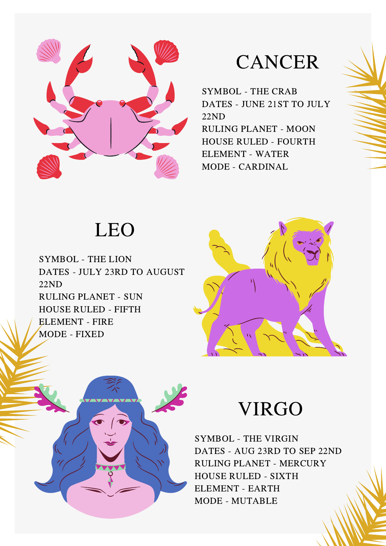

#### CANCER

SYMBOL - THE CRAB DATES - JUNE 21ST TO JULY 22ND RULING PLANET - MOON HOUSE RULED - FOURTH ELEMENT - WATER MODE - CARDINAL

# LEO

SYMBOL - THE LION DATES - JULY 23RD TO AUGUST 22ND RULING PLANET - SUN HOUSE RULED - FIFTH ELEMENT - FIRE MODE - FIXED





#### VIRGO

SYMBOL - THE VIRGIN DATES - AUG 23RD TO SEP 22ND RULING PLANET - MERCURY HOUSE RULED - SIXTH ELEMENT - EARTH MODE - MUTABLE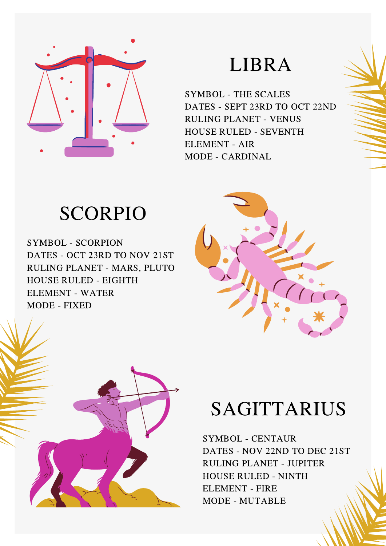

#### LIBRA

SYMBOL - THE SCALES DATES - SEPT 23RD TO OCT 22ND RULING PLANET - VENUS HOUSE RULED - SEVENTH ELEMENT - AIR MODE - CARDINAL

## SCORPIO

SYMBOL - SCORPION DATES - OCT 23RD TO NOV 21ST RULING PLANET - MARS, PLUTO HOUSE RULED - EIGHTH ELEMENT - WATER MODE - FIXED





# SAGITTARIUS

SYMBOL - CENTAUR DATES - NOV 22ND TO DEC 21ST RULING PLANET - JUPITER HOUSE RULED - NINTH ELEMENT - FIRE MODE - MUTABLE